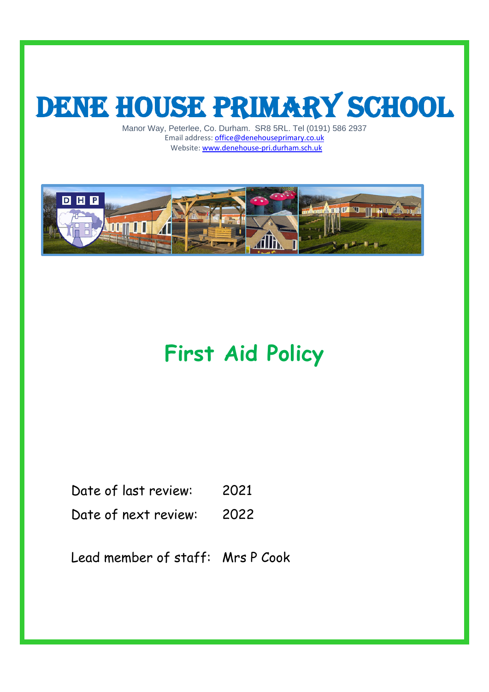# DENE HOUSE PRIMARY SCHOOL

Manor Way, Peterlee, Co. Durham. SR8 5RL. Tel (0191) 586 2937 Email address[: office@denehouseprimary.co.uk](mailto:office@denehouseprimary.co.uk) Website[: www.denehouse-pri.durham.sch.uk](http://www.denehouse-pri.durham.sch.uk/)



# **First Aid Policy**

| Date of last review: | 2021 |
|----------------------|------|
|                      |      |

Date of next review: 2022

Lead member of staff: Mrs P Cook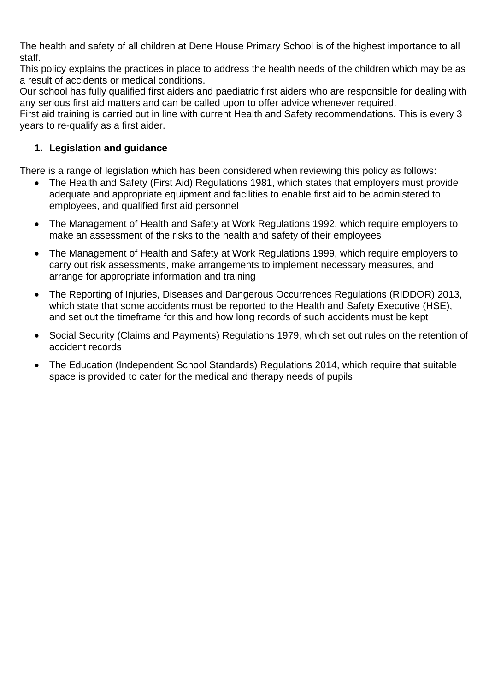The health and safety of all children at Dene House Primary School is of the highest importance to all staff.

This policy explains the practices in place to address the health needs of the children which may be as a result of accidents or medical conditions.

Our school has fully qualified first aiders and paediatric first aiders who are responsible for dealing with any serious first aid matters and can be called upon to offer advice whenever required.

First aid training is carried out in line with current Health and Safety recommendations. This is every 3 years to re-qualify as a first aider.

#### **1. Legislation and guidance**

There is a range of legislation which has been considered when reviewing this policy as follows:

- The Health and Safety (First Aid) Regulations 1981, which states that employers must provide adequate and appropriate equipment and facilities to enable first aid to be administered to employees, and qualified first aid personnel
- The Management of Health and Safety at Work Regulations 1992, which require employers to make an assessment of the risks to the health and safety of their employees
- The Management of Health and Safety at Work Regulations 1999, which require employers to carry out risk assessments, make arrangements to implement necessary measures, and arrange for appropriate information and training
- The Reporting of Injuries, Diseases and Dangerous Occurrences Regulations (RIDDOR) 2013, which state that some accidents must be reported to the Health and Safety Executive (HSE), and set out the timeframe for this and how long records of such accidents must be kept
- Social Security (Claims and Payments) Regulations 1979, which set out rules on the retention of accident records
- The Education (Independent School Standards) Regulations 2014, which require that suitable space is provided to cater for the medical and therapy needs of pupils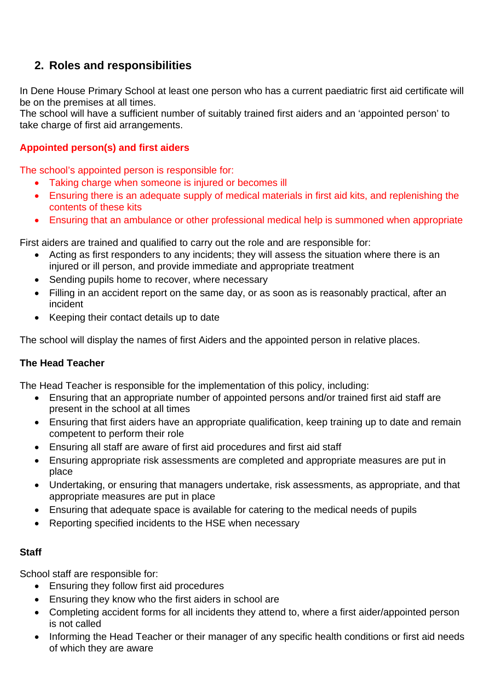## **2. Roles and responsibilities**

In Dene House Primary School at least one person who has a current paediatric first aid certificate will be on the premises at all times.

The school will have a sufficient number of suitably trained first aiders and an 'appointed person' to take charge of first aid arrangements.

#### **Appointed person(s) and first aiders**

The school's appointed person is responsible for:

- Taking charge when someone is injured or becomes ill
- Ensuring there is an adequate supply of medical materials in first aid kits, and replenishing the contents of these kits
- Ensuring that an ambulance or other professional medical help is summoned when appropriate

First aiders are trained and qualified to carry out the role and are responsible for:

- Acting as first responders to any incidents; they will assess the situation where there is an injured or ill person, and provide immediate and appropriate treatment
- Sending pupils home to recover, where necessary
- Filling in an accident report on the same day, or as soon as is reasonably practical, after an incident
- Keeping their contact details up to date

The school will display the names of first Aiders and the appointed person in relative places.

#### **The Head Teacher**

The Head Teacher is responsible for the implementation of this policy, including:

- Ensuring that an appropriate number of appointed persons and/or trained first aid staff are present in the school at all times
- Ensuring that first aiders have an appropriate qualification, keep training up to date and remain competent to perform their role
- Ensuring all staff are aware of first aid procedures and first aid staff
- Ensuring appropriate risk assessments are completed and appropriate measures are put in place
- Undertaking, or ensuring that managers undertake, risk assessments, as appropriate, and that appropriate measures are put in place
- Ensuring that adequate space is available for catering to the medical needs of pupils
- Reporting specified incidents to the HSE when necessary

#### **Staff**

School staff are responsible for:

- Ensuring they follow first aid procedures
- Ensuring they know who the first aiders in school are
- Completing accident forms for all incidents they attend to, where a first aider/appointed person is not called
- Informing the Head Teacher or their manager of any specific health conditions or first aid needs of which they are aware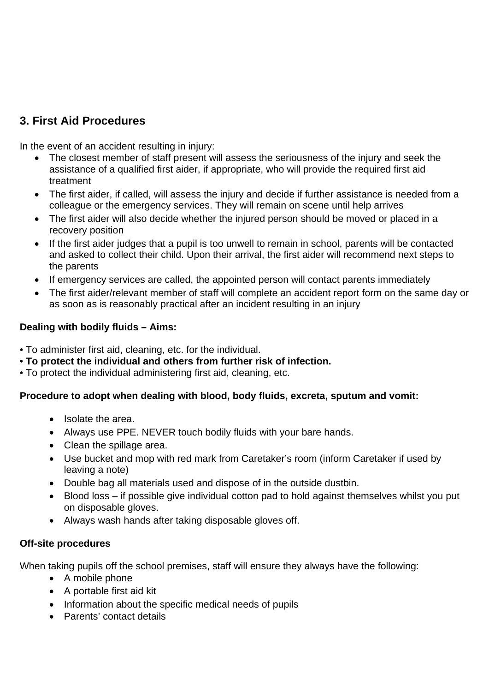### **3. First Aid Procedures**

In the event of an accident resulting in injury:

- The closest member of staff present will assess the seriousness of the injury and seek the assistance of a qualified first aider, if appropriate, who will provide the required first aid treatment
- The first aider, if called, will assess the injury and decide if further assistance is needed from a colleague or the emergency services. They will remain on scene until help arrives
- The first aider will also decide whether the injured person should be moved or placed in a recovery position
- If the first aider judges that a pupil is too unwell to remain in school, parents will be contacted and asked to collect their child. Upon their arrival, the first aider will recommend next steps to the parents
- If emergency services are called, the appointed person will contact parents immediately
- The first aider/relevant member of staff will complete an accident report form on the same day or as soon as is reasonably practical after an incident resulting in an injury

#### **Dealing with bodily fluids – Aims:**

• To administer first aid, cleaning, etc. for the individual.

- **To protect the individual and others from further risk of infection.**
- To protect the individual administering first aid, cleaning, etc.

#### **Procedure to adopt when dealing with blood, body fluids, excreta, sputum and vomit:**

- Isolate the area.
- Always use PPE. NEVER touch bodily fluids with your bare hands.
- Clean the spillage area.
- Use bucket and mop with red mark from Caretaker's room (inform Caretaker if used by leaving a note)
- Double bag all materials used and dispose of in the outside dustbin.
- Blood loss if possible give individual cotton pad to hold against themselves whilst you put on disposable gloves.
- Always wash hands after taking disposable gloves off.

#### **Off-site procedures**

When taking pupils off the school premises, staff will ensure they always have the following:

- A mobile phone
- A portable first aid kit
- Information about the specific medical needs of pupils
- Parents' contact details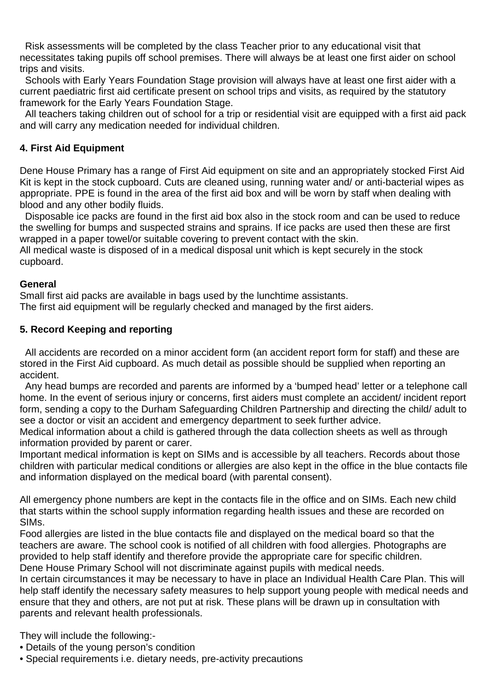Risk assessments will be completed by the class Teacher prior to any educational visit that necessitates taking pupils off school premises. There will always be at least one first aider on school trips and visits.

 Schools with Early Years Foundation Stage provision will always have at least one first aider with a current paediatric first aid certificate present on school trips and visits, as required by the statutory framework for the Early Years Foundation Stage.

 All teachers taking children out of school for a trip or residential visit are equipped with a first aid pack and will carry any medication needed for individual children.

#### **4. First Aid Equipment**

Dene House Primary has a range of First Aid equipment on site and an appropriately stocked First Aid Kit is kept in the stock cupboard. Cuts are cleaned using, running water and/ or anti-bacterial wipes as appropriate. PPE is found in the area of the first aid box and will be worn by staff when dealing with blood and any other bodily fluids.

 Disposable ice packs are found in the first aid box also in the stock room and can be used to reduce the swelling for bumps and suspected strains and sprains. If ice packs are used then these are first wrapped in a paper towel/or suitable covering to prevent contact with the skin.

All medical waste is disposed of in a medical disposal unit which is kept securely in the stock cupboard.

#### **General**

Small first aid packs are available in bags used by the lunchtime assistants. The first aid equipment will be regularly checked and managed by the first aiders.

#### **5. Record Keeping and reporting**

 All accidents are recorded on a minor accident form (an accident report form for staff) and these are stored in the First Aid cupboard. As much detail as possible should be supplied when reporting an accident.

 Any head bumps are recorded and parents are informed by a 'bumped head' letter or a telephone call home. In the event of serious injury or concerns, first aiders must complete an accident/ incident report form, sending a copy to the Durham Safeguarding Children Partnership and directing the child/ adult to see a doctor or visit an accident and emergency department to seek further advice.

Medical information about a child is gathered through the data collection sheets as well as through information provided by parent or carer.

Important medical information is kept on SIMs and is accessible by all teachers. Records about those children with particular medical conditions or allergies are also kept in the office in the blue contacts file and information displayed on the medical board (with parental consent).

All emergency phone numbers are kept in the contacts file in the office and on SIMs. Each new child that starts within the school supply information regarding health issues and these are recorded on SIMs.

Food allergies are listed in the blue contacts file and displayed on the medical board so that the teachers are aware. The school cook is notified of all children with food allergies. Photographs are provided to help staff identify and therefore provide the appropriate care for specific children. Dene House Primary School will not discriminate against pupils with medical needs.

In certain circumstances it may be necessary to have in place an Individual Health Care Plan. This will help staff identify the necessary safety measures to help support young people with medical needs and ensure that they and others, are not put at risk. These plans will be drawn up in consultation with parents and relevant health professionals.

They will include the following:-

- Details of the young person's condition
- Special requirements i.e. dietary needs, pre-activity precautions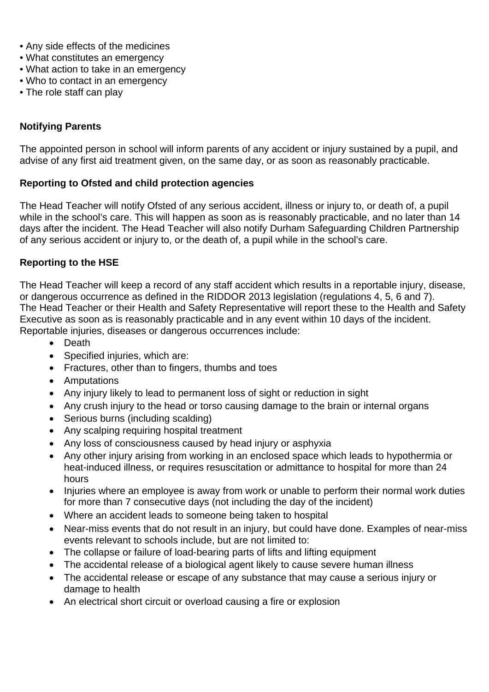- Any side effects of the medicines
- What constitutes an emergency
- What action to take in an emergency
- Who to contact in an emergency
- The role staff can play

#### **Notifying Parents**

The appointed person in school will inform parents of any accident or injury sustained by a pupil, and advise of any first aid treatment given, on the same day, or as soon as reasonably practicable.

#### **Reporting to Ofsted and child protection agencies**

The Head Teacher will notify Ofsted of any serious accident, illness or injury to, or death of, a pupil while in the school's care. This will happen as soon as is reasonably practicable, and no later than 14 days after the incident. The Head Teacher will also notify Durham Safeguarding Children Partnership of any serious accident or injury to, or the death of, a pupil while in the school's care.

#### **Reporting to the HSE**

The Head Teacher will keep a record of any staff accident which results in a reportable injury, disease, or dangerous occurrence as defined in the RIDDOR 2013 legislation (regulations 4, 5, 6 and 7). The Head Teacher or their Health and Safety Representative will report these to the Health and Safety Executive as soon as is reasonably practicable and in any event within 10 days of the incident. Reportable injuries, diseases or dangerous occurrences include:

- Death
- Specified injuries, which are:
- Fractures, other than to fingers, thumbs and toes
- Amputations
- Any injury likely to lead to permanent loss of sight or reduction in sight
- Any crush injury to the head or torso causing damage to the brain or internal organs
- Serious burns (including scalding)
- Any scalping requiring hospital treatment
- Any loss of consciousness caused by head injury or asphyxia
- Any other injury arising from working in an enclosed space which leads to hypothermia or heat-induced illness, or requires resuscitation or admittance to hospital for more than 24 hours
- Injuries where an employee is away from work or unable to perform their normal work duties for more than 7 consecutive days (not including the day of the incident)
- Where an accident leads to someone being taken to hospital
- Near-miss events that do not result in an injury, but could have done. Examples of near-miss events relevant to schools include, but are not limited to:
- The collapse or failure of load-bearing parts of lifts and lifting equipment
- The accidental release of a biological agent likely to cause severe human illness
- The accidental release or escape of any substance that may cause a serious injury or damage to health
- An electrical short circuit or overload causing a fire or explosion